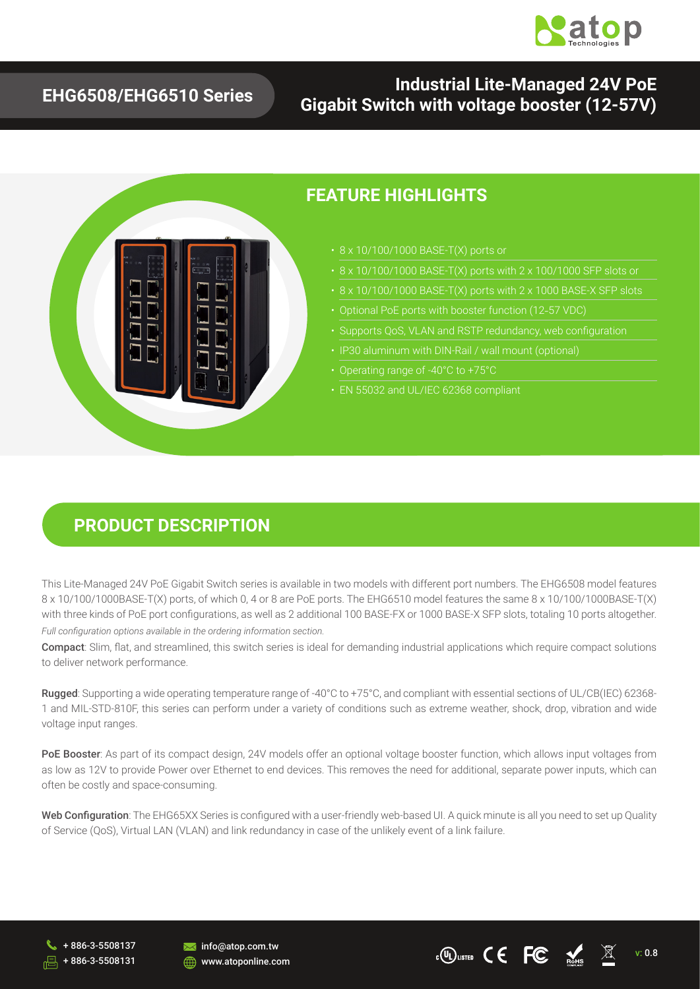

### **EHG6508/EHG6510 Series**

### **Industrial Lite-Managed 24V PoE Gigabit Switch with voltage booster (12-57V)**



#### **FEATURE HIGHLIGHTS**

- 
- 
- 
- Optional PoE ports with booster function (12-57 VDC)
- Supports QoS, VLAN and RSTP redundancy, web configuration
- 
- Operating range of -40°C to +75°C
- 

#### **PRODUCT DESCRIPTION**

This Lite-Managed 24V PoE Gigabit Switch series is available in two models with different port numbers. The EHG6508 model features 8 x 10/100/1000BASE-T(X) ports, of which 0, 4 or 8 are PoE ports. The EHG6510 model features the same 8 x 10/100/1000BASE-T(X) with three kinds of PoE port configurations, as well as 2 additional 100 BASE-FX or 1000 BASE-X SFP slots, totaling 10 ports altogether. *Full configuration options available in the ordering information section.*

Compact: Slim, flat, and streamlined, this switch series is ideal for demanding industrial applications which require compact solutions to deliver network performance.

Rugged: Supporting a wide operating temperature range of -40°C to +75°C, and compliant with essential sections of UL/CB(IEC) 62368- 1 and MIL-STD-810F, this series can perform under a variety of conditions such as extreme weather, shock, drop, vibration and wide voltage input ranges.

PoE Booster: As part of its compact design, 24V models offer an optional voltage booster function, which allows input voltages from as low as 12V to provide Power over Ethernet to end devices. This removes the need for additional, separate power inputs, which can often be costly and space-consuming.

Web Configuration: The EHG65XX Series is configured with a user-friendly web-based UI. A quick minute is all you need to set up Quality of Service (QoS), Virtual LAN (VLAN) and link redundancy in case of the unlikely event of a link failure.





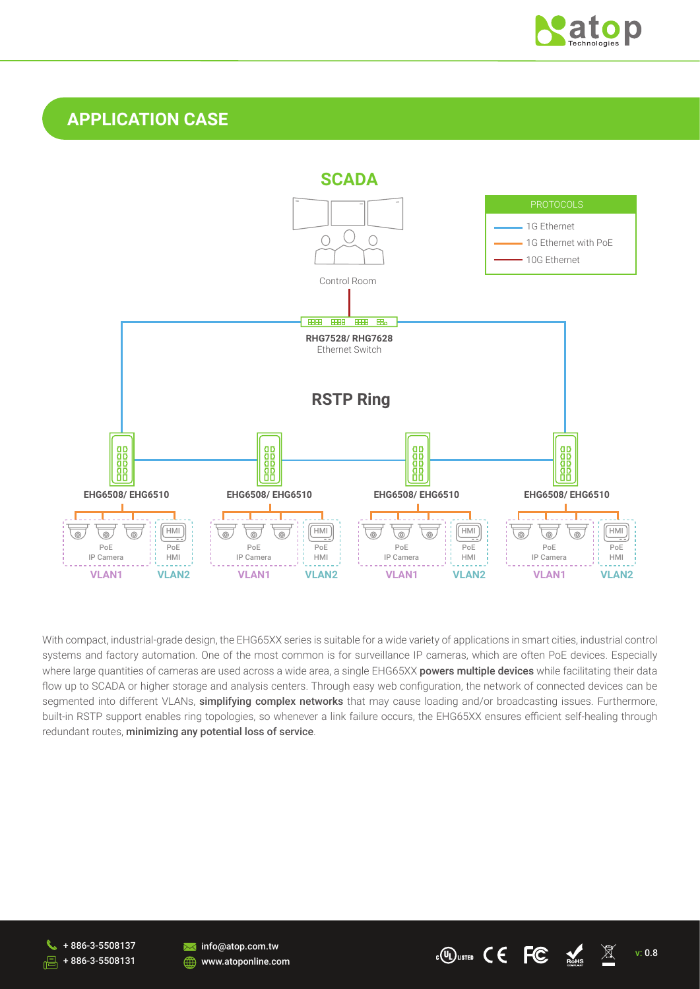

## **APPLICATION CASE**



With compact, industrial-grade design, the EHG65XX series is suitable for a wide variety of applications in smart cities, industrial control systems and factory automation. One of the most common is for surveillance IP cameras, which are often PoE devices. Especially where large quantities of cameras are used across a wide area, a single EHG65XX powers multiple devices while facilitating their data flow up to SCADA or higher storage and analysis centers. Through easy web configuration, the network of connected devices can be segmented into different VLANs, simplifying complex networks that may cause loading and/or broadcasting issues. Furthermore, built-in RSTP support enables ring topologies, so whenever a link failure occurs, the EHG65XX ensures efficient self-healing through redundant routes, minimizing any potential loss of service.

+ 886-3-5508137 + 886-3-5508131



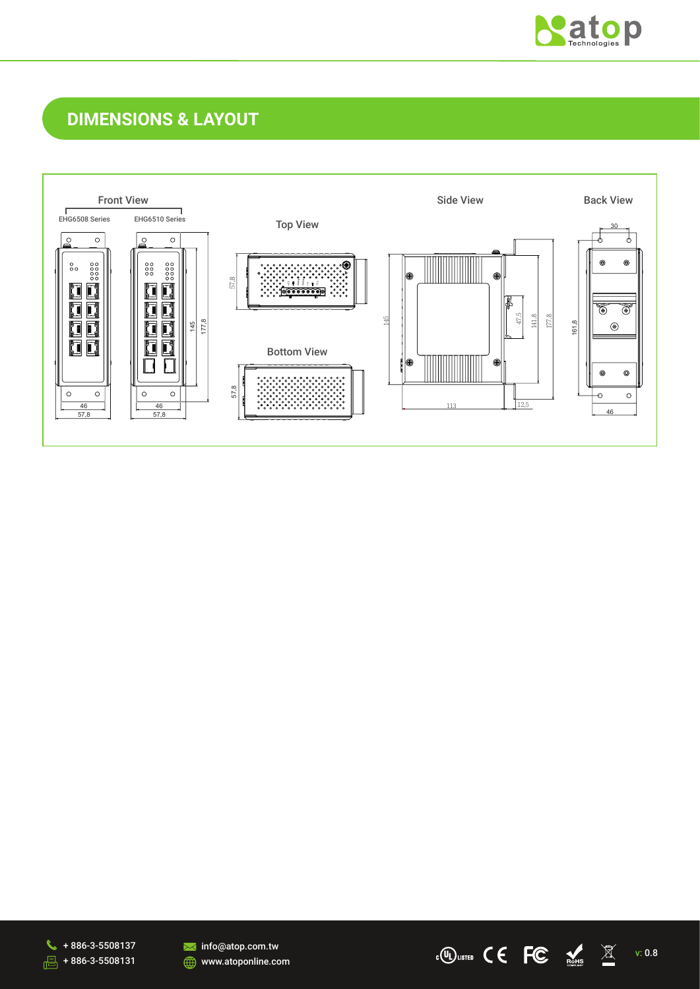

## **DIMENSIONS & LAYOUT**







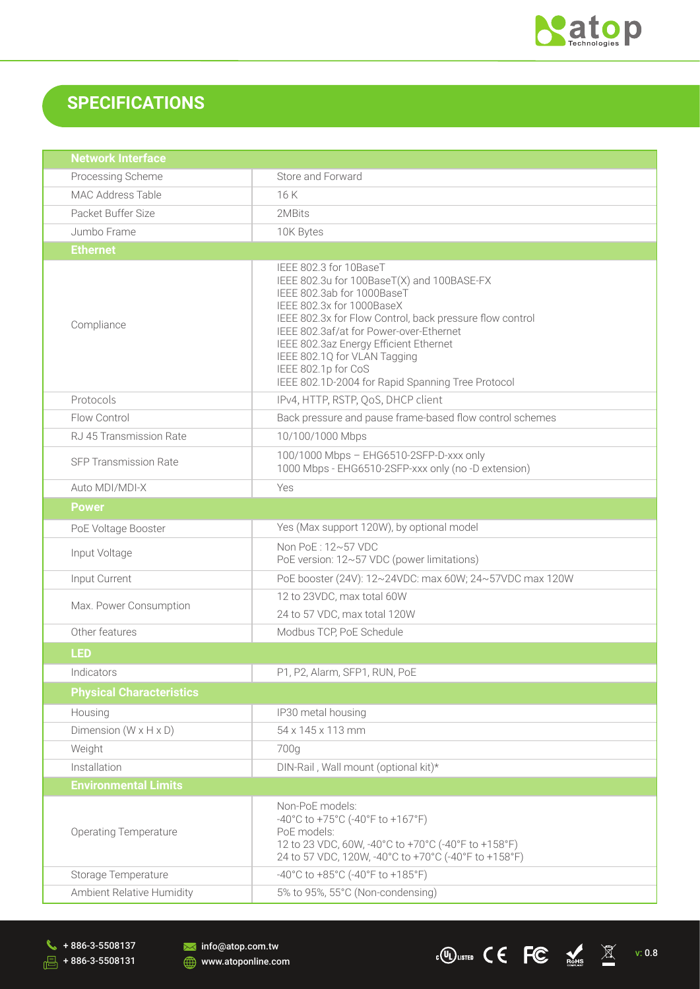

v: 0.8

 $\epsilon$ <sup>O</sup> Usited  $\zeta \in FC$   $\underset{\text{BMS}}{\blacktriangle}$   $\mathbb{X}$ 

## **SPECIFICATIONS**

| <b>Network Interface</b>            |                                                                                                                                                                                                                                                                                                                                                                                              |  |  |  |
|-------------------------------------|----------------------------------------------------------------------------------------------------------------------------------------------------------------------------------------------------------------------------------------------------------------------------------------------------------------------------------------------------------------------------------------------|--|--|--|
| Processing Scheme                   | Store and Forward                                                                                                                                                                                                                                                                                                                                                                            |  |  |  |
| MAC Address Table                   | 16K                                                                                                                                                                                                                                                                                                                                                                                          |  |  |  |
| Packet Buffer Size                  | 2MBits                                                                                                                                                                                                                                                                                                                                                                                       |  |  |  |
| Jumbo Frame                         | 10K Bytes                                                                                                                                                                                                                                                                                                                                                                                    |  |  |  |
| <b>Ethernet</b>                     |                                                                                                                                                                                                                                                                                                                                                                                              |  |  |  |
| Compliance                          | IEEE 802.3 for 10BaseT<br>IEEE 802.3u for 100BaseT(X) and 100BASE-FX<br>IEEE 802.3ab for 1000BaseT<br>IEEE 802.3x for 1000BaseX<br>IEEE 802.3x for Flow Control, back pressure flow control<br>IEEE 802.3af/at for Power-over-Ethernet<br>IEEE 802.3az Energy Efficient Ethernet<br>IEEE 802.1Q for VLAN Tagging<br>IEEE 802.1p for CoS<br>IEEE 802.1D-2004 for Rapid Spanning Tree Protocol |  |  |  |
| Protocols                           | IPv4, HTTP, RSTP, QoS, DHCP client                                                                                                                                                                                                                                                                                                                                                           |  |  |  |
| Flow Control                        | Back pressure and pause frame-based flow control schemes                                                                                                                                                                                                                                                                                                                                     |  |  |  |
| RJ 45 Transmission Rate             | 10/100/1000 Mbps                                                                                                                                                                                                                                                                                                                                                                             |  |  |  |
| <b>SFP Transmission Rate</b>        | 100/1000 Mbps - EHG6510-2SFP-D-xxx only<br>1000 Mbps - EHG6510-2SFP-xxx only (no -D extension)                                                                                                                                                                                                                                                                                               |  |  |  |
| Auto MDI/MDI-X                      | Yes                                                                                                                                                                                                                                                                                                                                                                                          |  |  |  |
| <b>Power</b>                        |                                                                                                                                                                                                                                                                                                                                                                                              |  |  |  |
| PoE Voltage Booster                 | Yes (Max support 120W), by optional model                                                                                                                                                                                                                                                                                                                                                    |  |  |  |
| Input Voltage                       | Non PoE: 12~57 VDC<br>PoE version: 12~57 VDC (power limitations)                                                                                                                                                                                                                                                                                                                             |  |  |  |
| Input Current                       | PoE booster (24V): 12~24VDC: max 60W; 24~57VDC max 120W                                                                                                                                                                                                                                                                                                                                      |  |  |  |
| Max. Power Consumption              | 12 to 23VDC, max total 60W<br>24 to 57 VDC, max total 120W                                                                                                                                                                                                                                                                                                                                   |  |  |  |
| Other features                      | Modbus TCP, PoE Schedule                                                                                                                                                                                                                                                                                                                                                                     |  |  |  |
| <b>LED</b>                          |                                                                                                                                                                                                                                                                                                                                                                                              |  |  |  |
| Indicators                          | P1, P2, Alarm, SFP1, RUN, PoE                                                                                                                                                                                                                                                                                                                                                                |  |  |  |
| <b>Physical Characteristics</b>     |                                                                                                                                                                                                                                                                                                                                                                                              |  |  |  |
| Housing                             | IP30 metal housing                                                                                                                                                                                                                                                                                                                                                                           |  |  |  |
| Dimension ( $W \times H \times D$ ) | 54 x 145 x 113 mm                                                                                                                                                                                                                                                                                                                                                                            |  |  |  |
| Weight                              | 700g                                                                                                                                                                                                                                                                                                                                                                                         |  |  |  |
| Installation                        | DIN-Rail, Wall mount (optional kit)*                                                                                                                                                                                                                                                                                                                                                         |  |  |  |
| <b>Environmental Limits</b>         |                                                                                                                                                                                                                                                                                                                                                                                              |  |  |  |
| <b>Operating Temperature</b>        | Non-PoE models:<br>-40°C to +75°C (-40°F to +167°F)<br>PoE models:<br>12 to 23 VDC, 60W, -40°C to +70°C (-40°F to +158°F)<br>24 to 57 VDC, 120W, -40°C to +70°C (-40°F to +158°F)                                                                                                                                                                                                            |  |  |  |
| Storage Temperature                 | -40°C to +85°C (-40°F to +185°F)                                                                                                                                                                                                                                                                                                                                                             |  |  |  |
| Ambient Relative Humidity           | 5% to 95%, 55°C (Non-condensing)                                                                                                                                                                                                                                                                                                                                                             |  |  |  |

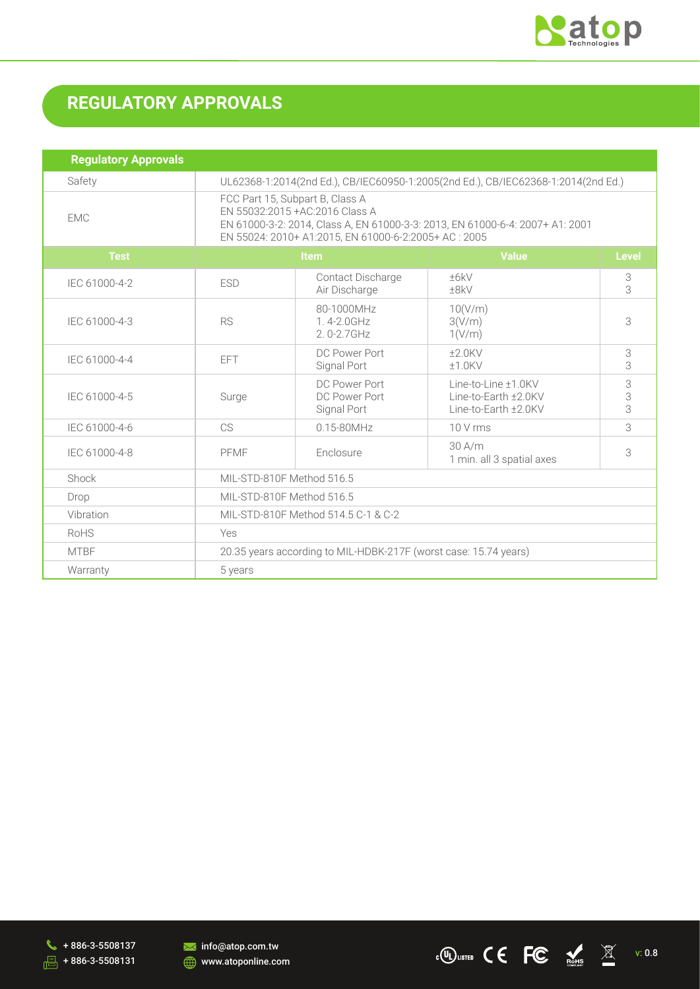

## **REGULATORY APPROVALS**

| <b>Regulatory Approvals</b> |                                                                                                                                                                                                              |                                               |                                                                     |              |
|-----------------------------|--------------------------------------------------------------------------------------------------------------------------------------------------------------------------------------------------------------|-----------------------------------------------|---------------------------------------------------------------------|--------------|
| Safety                      | UL62368-1:2014(2nd Ed.), CB/IEC60950-1:2005(2nd Ed.), CB/IEC62368-1:2014(2nd Ed.)                                                                                                                            |                                               |                                                                     |              |
| <b>EMC</b>                  | FCC Part 15, Subpart B, Class A<br>EN 55032:2015 + AC: 2016 Class A<br>EN 61000-3-2: 2014, Class A, EN 61000-3-3: 2013, EN 61000-6-4: 2007+ A1: 2001<br>EN 55024: 2010+ A1:2015, EN 61000-6-2:2005+ AC: 2005 |                                               |                                                                     |              |
| <b>Test</b>                 | Item                                                                                                                                                                                                         |                                               | <b>Value</b>                                                        | <b>Level</b> |
| IEC 61000-4-2               | <b>ESD</b>                                                                                                                                                                                                   | Contact Discharge<br>Air Discharge            | ±6kV<br>±8kV                                                        | 3<br>3       |
| IEC 61000-4-3               | <b>RS</b>                                                                                                                                                                                                    | 80-1000MHz<br>1.4-2.0GHz<br>$2.0 - 2.7$ GHz   | 10(V/m)<br>3(V/m)<br>1(V/m)                                         | 3            |
| IEC 61000-4-4               | <b>EFT</b>                                                                                                                                                                                                   | DC Power Port<br>Signal Port                  | $±2.0$ KV<br>$±1.0$ KV                                              | 3<br>3       |
| IEC 61000-4-5               | Surge                                                                                                                                                                                                        | DC Power Port<br>DC Power Port<br>Signal Port | Line-to-Line ±1.0KV<br>Line-to-Earth ±2.0KV<br>Line-to-Earth ±2.0KV | 3<br>3<br>3  |
| IEC 61000-4-6               | CS.                                                                                                                                                                                                          | $0.15 - 80$ MHz                               | 10 V rms                                                            | 3            |
| IEC 61000-4-8               | PFMF                                                                                                                                                                                                         | Enclosure                                     | 30 A/m<br>1 min. all 3 spatial axes                                 | 3            |
| Shock                       | MIL-STD-810F Method 516.5                                                                                                                                                                                    |                                               |                                                                     |              |
| Drop                        | MIL-STD-810F Method 516.5                                                                                                                                                                                    |                                               |                                                                     |              |
| Vibration                   | MIL-STD-810F Method 514.5 C-1 & C-2                                                                                                                                                                          |                                               |                                                                     |              |
| <b>RoHS</b>                 | Yes                                                                                                                                                                                                          |                                               |                                                                     |              |
| <b>MTBF</b>                 | 20.35 years according to MIL-HDBK-217F (worst case: 15.74 years)                                                                                                                                             |                                               |                                                                     |              |
| Warranty                    | 5 years                                                                                                                                                                                                      |                                               |                                                                     |              |





 $\epsilon$ <sup>O</sup>W USTED C C FC  $\frac{1}{2}$  C  $\frac{1}{2}$ v: 0.8